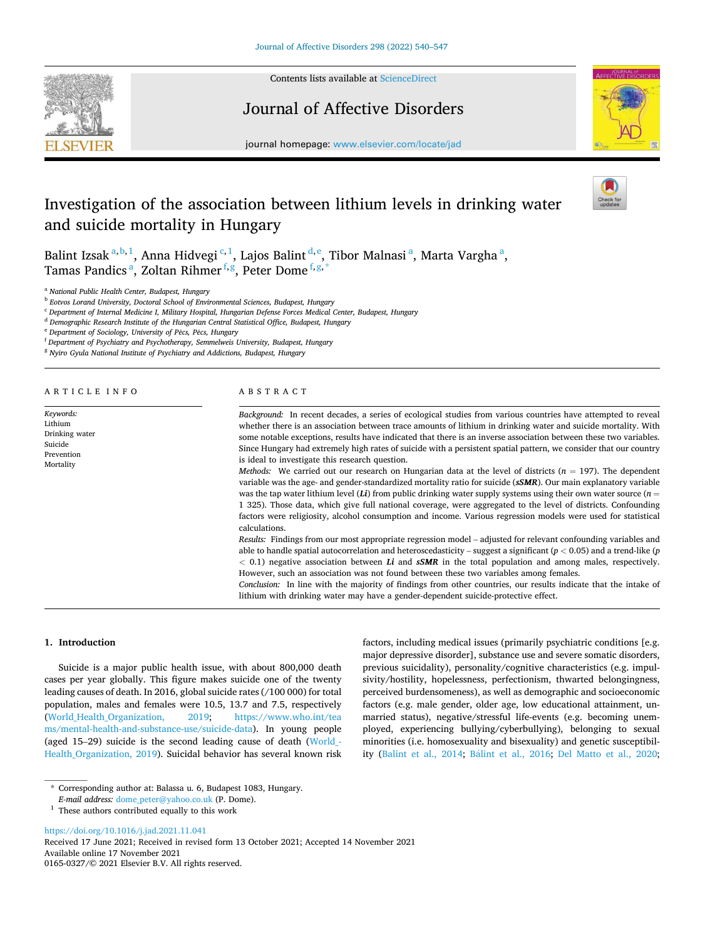

Contents lists available at [ScienceDirect](www.sciencedirect.com/science/journal/01650327)

# Journal of Affective Disorders



journal homepage: [www.elsevier.com/locate/jad](https://www.elsevier.com/locate/jad)

# Investigation of the association between lithium levels in drinking water and suicide mortality in Hungary

Balint Izsak $^{a,b,1}$ , Anna Hidvegi $^{c,1}$ , Lajos Balint $^{d,e}$ , Tibor Malnasi $^{a}$ , Marta Vargha $^{a}$ , Tamas Pandics <sup>a</sup>, Zoltan Rihmer f, g, Peter Dome f, g, \*

<sup>a</sup> *National Public Health Center, Budapest, Hungary* 

b *Eotvos Lorand University, Doctoral School of Environmental Sciences, Budapest, Hungary* 

<sup>c</sup> *Department of Internal Medicine I, Military Hospital, Hungarian Defense Forces Medical Center, Budapest, Hungary* 

<sup>d</sup> *Demographic Research Institute of the Hungarian Central Statistical Office, Budapest, Hungary* 

<sup>e</sup> *Department of Sociology, University of P*´*ecs, P*´*ecs, Hungary* 

<sup>f</sup> *Department of Psychiatry and Psychotherapy, Semmelweis University, Budapest, Hungary* 

<sup>g</sup> *Nyiro Gyula National Institute of Psychiatry and Addictions, Budapest, Hungary* 

| ARTICLE INFO                                                                 | ABSTRACT                                                                                                                                                                                                                                                                                                                                                                                                                                                                                                                                                                                                                                                  |
|------------------------------------------------------------------------------|-----------------------------------------------------------------------------------------------------------------------------------------------------------------------------------------------------------------------------------------------------------------------------------------------------------------------------------------------------------------------------------------------------------------------------------------------------------------------------------------------------------------------------------------------------------------------------------------------------------------------------------------------------------|
| Keywords:<br>Lithium<br>Drinking water<br>Suicide<br>Prevention<br>Mortality | Background: In recent decades, a series of ecological studies from various countries have attempted to reveal<br>whether there is an association between trace amounts of lithium in drinking water and suicide mortality. With<br>some notable exceptions, results have indicated that there is an inverse association between these two variables.<br>Since Hungary had extremely high rates of suicide with a persistent spatial pattern, we consider that our country<br>is ideal to investigate this research question.                                                                                                                              |
|                                                                              | <i>Methods:</i> We carried out our research on Hungarian data at the level of districts ( $n = 197$ ). The dependent<br>variable was the age- and gender-standardized mortality ratio for suicide (sSMR). Our main explanatory variable<br>was the tap water lithium level (Li) from public drinking water supply systems using their own water source $(n = 1)$<br>1 325). Those data, which give full national coverage, were aggregated to the level of districts. Confounding<br>factors were religiosity, alcohol consumption and income. Various regression models were used for statistical<br>calculations.                                       |
|                                                                              | Results: Findings from our most appropriate regression model – adjusted for relevant confounding variables and<br>able to handle spatial autocorrelation and heteroscedasticity – suggest a significant ( $p < 0.05$ ) and a trend-like (p<br>$< 0.1$ ) negative association between Li and sSMR in the total population and among males, respectively.<br>However, such an association was not found between these two variables among females.<br>Conclusion: In line with the majority of findings from other countries, our results indicate that the intake of<br>lithium with drinking water may have a gender-dependent suicide-protective effect. |

factors, including medical issues (primarily psychiatric conditions [e.g. major depressive disorder], substance use and severe somatic disorders, previous suicidality), personality/cognitive characteristics (e.g. impulsivity/hostility, hopelessness, perfectionism, thwarted belongingness, perceived burdensomeness), as well as demographic and socioeconomic factors (e.g. male gender, older age, low educational attainment, unmarried status), negative/stressful life-events (e.g. becoming unemployed, experiencing bullying/cyberbullying), belonging to sexual minorities (i.e. homosexuality and bisexuality) and genetic susceptibil-ity ([Balint et al., 2014](#page-6-0); Bálint et al., 2016; [Del Matto et al., 2020](#page-6-0);

### **1. Introduction**

Suicide is a major public health issue, with about 800,000 death cases per year globally. This figure makes suicide one of the twenty leading causes of death. In 2016, global suicide rates (/100 000) for total population, males and females were 10.5, 13.7 and 7.5, respectively ([World\\_Health\\_Organization, 2019;](#page-7-0) [https://www.who.int/tea](https://www.who.int/teams/mental-health-and-substance-use/suicide-data)  [ms/mental-health-and-substance-use/suicide-data\)](https://www.who.int/teams/mental-health-and-substance-use/suicide-data). In young people (aged 15–29) suicide is the second leading cause of death ([World\\_-](#page-7-0) [Health\\_Organization, 2019\)](#page-7-0). Suicidal behavior has several known risk

<https://doi.org/10.1016/j.jad.2021.11.041>

<sup>\*</sup> Corresponding author at: Balassa u. 6, Budapest 1083, Hungary.

*E-mail address:* [dome\\_peter@yahoo.co.uk](mailto:dome_peter@yahoo.co.uk) (P. Dome).

 $^{\rm 1}$  These authors contributed equally to this work

Available online 17 November 2021 0165-0327/© 2021 Elsevier B.V. All rights reserved. Received 17 June 2021; Received in revised form 13 October 2021; Accepted 14 November 2021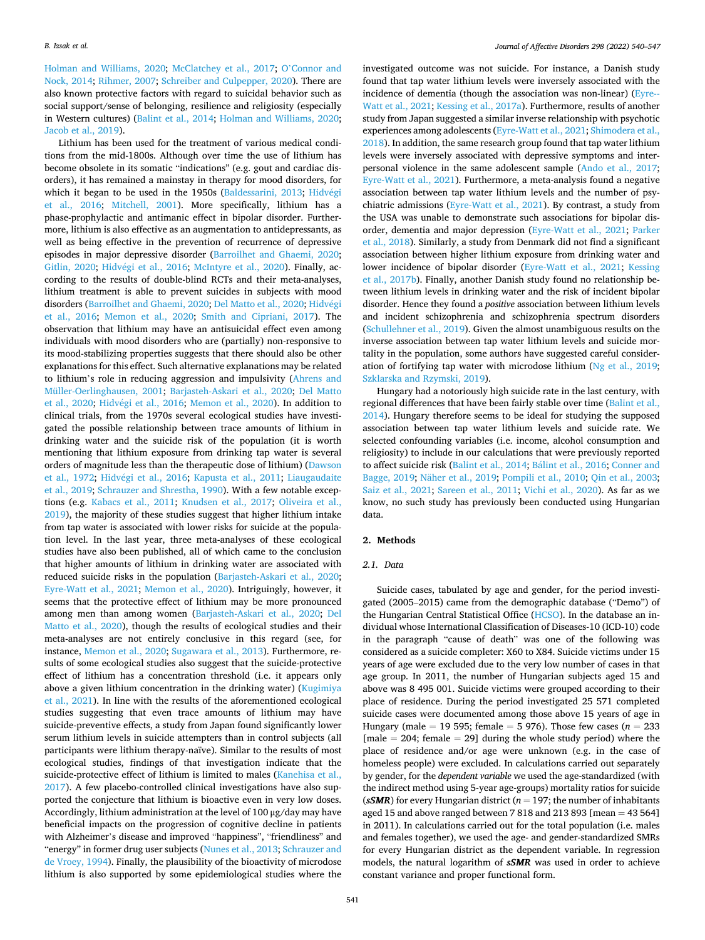[Holman and Williams, 2020;](#page-6-0) [McClatchey et al., 2017](#page-7-0); O'[Connor and](#page-7-0)  [Nock, 2014](#page-7-0); [Rihmer, 2007;](#page-7-0) [Schreiber and Culpepper, 2020\)](#page-7-0). There are also known protective factors with regard to suicidal behavior such as social support/sense of belonging, resilience and religiosity (especially in Western cultures) ([Balint et al., 2014;](#page-6-0) [Holman and Williams, 2020](#page-6-0); [Jacob et al., 2019\)](#page-6-0).

Lithium has been used for the treatment of various medical conditions from the mid-1800s. Although over time the use of lithium has become obsolete in its somatic "indications" (e.g. gout and cardiac disorders), it has remained a mainstay in therapy for mood disorders, for which it began to be used in the 1950s [\(Baldessarini, 2013;](#page-6-0) [Hidv](#page-6-0)égi [et al., 2016;](#page-6-0) [Mitchell, 2001\)](#page-7-0). More specifically, lithium has a phase-prophylactic and antimanic effect in bipolar disorder. Furthermore, lithium is also effective as an augmentation to antidepressants, as well as being effective in the prevention of recurrence of depressive episodes in major depressive disorder ([Barroilhet and Ghaemi, 2020](#page-6-0); [Gitlin, 2020;](#page-6-0) Hidvégi et al., 2016; [McIntyre et al., 2020](#page-7-0)). Finally, according to the results of double-blind RCTs and their meta-analyses, lithium treatment is able to prevent suicides in subjects with mood disorders ([Barroilhet and Ghaemi, 2020; Del Matto et al., 2020; Hidv](#page-6-0)égi [et al., 2016;](#page-6-0) [Memon et al., 2020;](#page-7-0) [Smith and Cipriani, 2017\)](#page-7-0). The observation that lithium may have an antisuicidal effect even among individuals with mood disorders who are (partially) non-responsive to its mood-stabilizing properties suggests that there should also be other explanations for this effect. Such alternative explanations may be related to lithium's role in reducing aggression and impulsivity ([Ahrens and](#page-6-0)  [Müller-Oerlinghausen, 2001](#page-6-0); [Barjasteh-Askari et al., 2020](#page-6-0); [Del Matto](#page-6-0)  [et al., 2020;](#page-6-0) Hidvégi et al., 2016; [Memon et al., 2020](#page-7-0)). In addition to clinical trials, from the 1970s several ecological studies have investigated the possible relationship between trace amounts of lithium in drinking water and the suicide risk of the population (it is worth mentioning that lithium exposure from drinking tap water is several orders of magnitude less than the therapeutic dose of lithium) ([Dawson](#page-6-0)  [et al., 1972;](#page-6-0) Hidvégi et al., 2016; [Kapusta et al., 2011](#page-7-0); Liaugaudaite [et al., 2019;](#page-7-0) [Schrauzer and Shrestha, 1990](#page-7-0)). With a few notable exceptions (e.g. [Kabacs et al., 2011;](#page-6-0) [Knudsen et al., 2017;](#page-7-0) [Oliveira et al.,](#page-7-0)  [2019\)](#page-7-0), the majority of these studies suggest that higher lithium intake from tap water is associated with lower risks for suicide at the population level. In the last year, three meta-analyses of these ecological studies have also been published, all of which came to the conclusion that higher amounts of lithium in drinking water are associated with reduced suicide risks in the population [\(Barjasteh-Askari et al., 2020](#page-6-0); [Eyre-Watt et al., 2021](#page-6-0); [Memon et al., 2020](#page-7-0)). Intriguingly, however, it seems that the protective effect of lithium may be more pronounced among men than among women [\(Barjasteh-Askari et al., 2020;](#page-6-0) [Del](#page-6-0)  [Matto et al., 2020](#page-6-0)), though the results of ecological studies and their meta-analyses are not entirely conclusive in this regard (see, for instance, [Memon et al., 2020; Sugawara et al., 2013](#page-7-0)). Furthermore, results of some ecological studies also suggest that the suicide-protective effect of lithium has a concentration threshold (i.e. it appears only above a given lithium concentration in the drinking water) (Kugimiya [et al., 2021\)](#page-7-0). In line with the results of the aforementioned ecological studies suggesting that even trace amounts of lithium may have suicide-preventive effects, a study from Japan found significantly lower serum lithium levels in suicide attempters than in control subjects (all participants were lithium therapy-naïve). Similar to the results of most ecological studies, findings of that investigation indicate that the suicide-protective effect of lithium is limited to males [\(Kanehisa et al.,](#page-7-0)  [2017\)](#page-7-0). A few placebo-controlled clinical investigations have also supported the conjecture that lithium is bioactive even in very low doses. Accordingly, lithium administration at the level of 100 μg/day may have beneficial impacts on the progression of cognitive decline in patients with Alzheimer's disease and improved "happiness", "friendliness" and "energy" in former drug user subjects (Nunes et al., 2013; Schrauzer and [de Vroey, 1994](#page-7-0)). Finally, the plausibility of the bioactivity of microdose lithium is also supported by some epidemiological studies where the

investigated outcome was not suicide. For instance, a Danish study found that tap water lithium levels were inversely associated with the incidence of dementia (though the association was non-linear) ([Eyre--](#page-6-0) [Watt et al., 2021;](#page-6-0) [Kessing et al., 2017a\)](#page-7-0). Furthermore, results of another study from Japan suggested a similar inverse relationship with psychotic experiences among adolescents ([Eyre-Watt et al., 2021](#page-6-0); [Shimodera et al.,](#page-7-0)  [2018\)](#page-7-0). In addition, the same research group found that tap water lithium levels were inversely associated with depressive symptoms and interpersonal violence in the same adolescent sample ([Ando et al., 2017](#page-6-0); [Eyre-Watt et al., 2021\)](#page-6-0). Furthermore, a meta-analysis found a negative association between tap water lithium levels and the number of psychiatric admissions [\(Eyre-Watt et al., 2021](#page-6-0)). By contrast, a study from the USA was unable to demonstrate such associations for bipolar disorder, dementia and major depression ([Eyre-Watt et al., 2021](#page-6-0); [Parker](#page-7-0)  [et al., 2018](#page-7-0)). Similarly, a study from Denmark did not find a significant association between higher lithium exposure from drinking water and lower incidence of bipolar disorder [\(Eyre-Watt et al., 2021](#page-6-0); [Kessing](#page-7-0)  [et al., 2017b\)](#page-7-0). Finally, another Danish study found no relationship between lithium levels in drinking water and the risk of incident bipolar disorder. Hence they found a *positive* association between lithium levels and incident schizophrenia and schizophrenia spectrum disorders ([Schullehner et al., 2019\)](#page-7-0). Given the almost unambiguous results on the inverse association between tap water lithium levels and suicide mortality in the population, some authors have suggested careful consideration of fortifying tap water with microdose lithium [\(Ng et al., 2019](#page-7-0); [Szklarska and Rzymski, 2019\)](#page-7-0).

Hungary had a notoriously high suicide rate in the last century, with regional differences that have been fairly stable over time ([Balint et al.,](#page-6-0)  [2014\)](#page-6-0). Hungary therefore seems to be ideal for studying the supposed association between tap water lithium levels and suicide rate. We selected confounding variables (i.e. income, alcohol consumption and religiosity) to include in our calculations that were previously reported to affect suicide risk ([Balint et al., 2014](#page-6-0); Bálint et al., 2016; Conner and [Bagge, 2019](#page-6-0); Näher et al., 2019; [Pompili et al., 2010;](#page-7-0) [Qin et al., 2003](#page-7-0); [Saiz et al., 2021;](#page-7-0) [Sareen et al., 2011;](#page-7-0) [Vichi et al., 2020](#page-7-0)). As far as we know, no such study has previously been conducted using Hungarian data.

# **2. Methods**

## *2.1. Data*

Suicide cases, tabulated by age and gender, for the period investigated (2005–2015) came from the demographic database ("Demo") of the Hungarian Central Statistical Office ([HCSO\)](#page-6-0). In the database an individual whose International Classification of Diseases-10 (ICD-10) code in the paragraph "cause of death" was one of the following was considered as a suicide completer: X60 to X84. Suicide victims under 15 years of age were excluded due to the very low number of cases in that age group. In 2011, the number of Hungarian subjects aged 15 and above was 8 495 001. Suicide victims were grouped according to their place of residence. During the period investigated 25 571 completed suicide cases were documented among those above 15 years of age in Hungary (male = 19 595; female = 5 976). Those few cases (*n* = 233  $[male = 204; female = 29]$  during the whole study period) where the place of residence and/or age were unknown (e.g. in the case of homeless people) were excluded. In calculations carried out separately by gender, for the *dependent variable* we used the age-standardized (with the indirect method using 5-year age-groups) mortality ratios for suicide ( $sSMR$ ) for every Hungarian district ( $n = 197$ ; the number of inhabitants aged 15 and above ranged between 7 818 and 213 893 [mean = 43 564] in 2011). In calculations carried out for the total population (i.e. males and females together), we used the age- and gender-standardized SMRs for every Hungarian district as the dependent variable. In regression models, the natural logarithm of *sSMR* was used in order to achieve constant variance and proper functional form.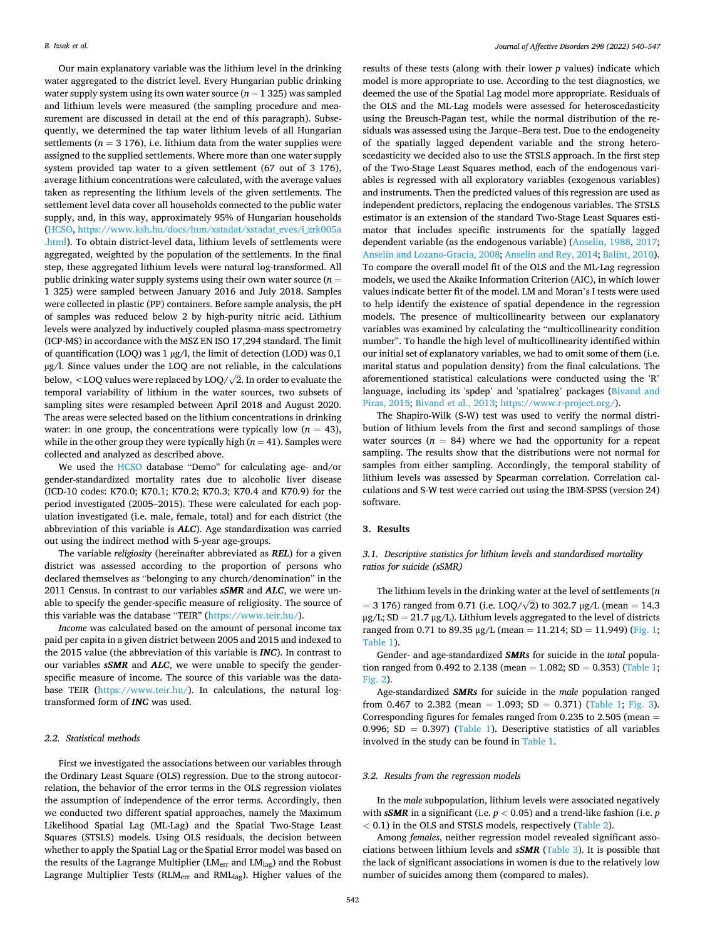Our main explanatory variable was the lithium level in the drinking water aggregated to the district level. Every Hungarian public drinking water supply system using its own water source  $(n = 1 325)$  was sampled and lithium levels were measured (the sampling procedure and measurement are discussed in detail at the end of this paragraph). Subsequently, we determined the tap water lithium levels of all Hungarian settlements ( $n = 3$  176), i.e. lithium data from the water supplies were assigned to the supplied settlements. Where more than one water supply system provided tap water to a given settlement (67 out of 3 176), average lithium concentrations were calculated, with the average values taken as representing the lithium levels of the given settlements. The settlement level data cover all households connected to the public water supply, and, in this way, approximately 95% of Hungarian households ([HCSO,](#page-6-0) [https://www.ksh.hu/docs/hun/xstadat/xstadat\\_eves/i\\_zrk005a](https://www.ksh.hu/docs/hun/xstadat/xstadat_eves/i_zrk005a.html)  [.html](https://www.ksh.hu/docs/hun/xstadat/xstadat_eves/i_zrk005a.html)). To obtain district-level data, lithium levels of settlements were aggregated, weighted by the population of the settlements. In the final step, these aggregated lithium levels were natural log-transformed. All public drinking water supply systems using their own water source (*n* = 1 325) were sampled between January 2016 and July 2018. Samples were collected in plastic (PP) containers. Before sample analysis, the pH of samples was reduced below 2 by high-purity nitric acid. Lithium levels were analyzed by inductively coupled plasma-mass spectrometry (ICP-MS) in accordance with the MSZ EN ISO 17,294 standard. The limit of quantification (LOQ) was  $1 \mu g/l$ , the limit of detection (LOD) was  $0,1$  $\mu$ g/l. Since values under the LOQ are not reliable, in the calculations below,  $<$  LOQ values were replaced by LOQ/ $\sqrt{2}$ . In order to evaluate the temporal variability of lithium in the water sources, two subsets of sampling sites were resampled between April 2018 and August 2020. The areas were selected based on the lithium concentrations in drinking water: in one group, the concentrations were typically low  $(n = 43)$ , while in the other group they were typically high  $(n = 41)$ . Samples were collected and analyzed as described above.

We used the [HCSO](#page-6-0) database "Demo" for calculating age- and/or gender-standardized mortality rates due to alcoholic liver disease (ICD-10 codes: K70.0; K70.1; K70.2; K70.3; K70.4 and K70.9) for the period investigated (2005–2015). These were calculated for each population investigated (i.e. male, female, total) and for each district (the abbreviation of this variable is *ALC*). Age standardization was carried out using the indirect method with 5-year age-groups.

The variable *religiosity* (hereinafter abbreviated as *REL*) for a given district was assessed according to the proportion of persons who declared themselves as "belonging to any church/denomination" in the 2011 Census. In contrast to our variables *sSMR* and *ALC*, we were unable to specify the gender-specific measure of religiosity. The source of this variable was the database "TEIR" [\(https://www.teir.hu/](https://www.teir.hu/)).

*Income* was calculated based on the amount of personal income tax paid per capita in a given district between 2005 and 2015 and indexed to the 2015 value (the abbreviation of this variable is *INC*). In contrast to our variables *sSMR* and *ALC*, we were unable to specify the genderspecific measure of income. The source of this variable was the database TEIR ([https://www.teir.hu/\)](https://www.teir.hu/). In calculations, the natural logtransformed form of *INC* was used.

### *2.2. Statistical methods*

First we investigated the associations between our variables through the Ordinary Least Square (OLS) regression. Due to the strong autocorrelation, the behavior of the error terms in the OLS regression violates the assumption of independence of the error terms. Accordingly, then we conducted two different spatial approaches, namely the Maximum Likelihood Spatial Lag (ML-Lag) and the Spatial Two-Stage Least Squares (STSLS) models. Using OLS residuals, the decision between whether to apply the Spatial Lag or the Spatial Error model was based on the results of the Lagrange Multiplier (LM<sub>err</sub> and LM<sub>lag</sub>) and the Robust Lagrange Multiplier Tests (RLM<sub>err</sub> and RML<sub>lag</sub>). Higher values of the

results of these tests (along with their lower *p* values) indicate which model is more appropriate to use. According to the test diagnostics, we deemed the use of the Spatial Lag model more appropriate. Residuals of the OLS and the ML-Lag models were assessed for heteroscedasticity using the Breusch-Pagan test, while the normal distribution of the residuals was assessed using the Jarque–Bera test. Due to the endogeneity of the spatially lagged dependent variable and the strong heteroscedasticity we decided also to use the STSLS approach. In the first step of the Two-Stage Least Squares method, each of the endogenous variables is regressed with all exploratory variables (exogenous variables) and instruments. Then the predicted values of this regression are used as independent predictors, replacing the endogenous variables. The STSLS estimator is an extension of the standard Two-Stage Least Squares estimator that includes specific instruments for the spatially lagged dependent variable (as the endogenous variable) [\(Anselin, 1988,](#page-6-0) [2017](#page-6-0); [Anselin and Lozano-Gracia, 2008; Anselin and Rey, 2014](#page-6-0); [Balint, 2010](#page-6-0)). To compare the overall model fit of the OLS and the ML-Lag regression models, we used the Akaike Information Criterion (AIC), in which lower values indicate better fit of the model. LM and Moran's I tests were used to help identify the existence of spatial dependence in the regression models. The presence of multicollinearity between our explanatory variables was examined by calculating the "multicollinearity condition number". To handle the high level of multicollinearity identified within our initial set of explanatory variables, we had to omit some of them (i.e. marital status and population density) from the final calculations. The aforementioned statistical calculations were conducted using the 'R' language, including its 'spdep' and 'spatialreg' packages ([Bivand and](#page-6-0)  [Piras, 2015; Bivand et al., 2013](#page-6-0); [https://www.r-project.org/\)](https://www.r-project.org/).

The Shapiro-Wilk (S-W) test was used to verify the normal distribution of lithium levels from the first and second samplings of those water sources  $(n = 84)$  where we had the opportunity for a repeat sampling. The results show that the distributions were not normal for samples from either sampling. Accordingly, the temporal stability of lithium levels was assessed by Spearman correlation. Correlation calculations and S-W test were carried out using the IBM-SPSS (version 24) software.

#### **3. Results**

*3.1. Descriptive statistics for lithium levels and standardized mortality ratios for suicide (sSMR)* 

The lithium levels in the drinking water at the level of settlements (*n*) = 3 176) ranged from 0.71 (i.e. LOQ/ $\sqrt{2}$ ) to 302.7 μg/L (mean = 14.3 μg/L; SD = 21.7 μg/L). Lithium levels aggregated to the level of districts ranged from 0.71 to 89.35  $\mu$ g/L (mean = 11.214; SD = 11.949) ([Fig. 1](#page-3-0); [Table 1](#page-3-0)).

Gender- and age-standardized *SMRs* for suicide in the *total* population ranged from 0.492 to 2.138 (mean =  $1.082$ ; SD = 0.353) [\(Table 1](#page-3-0); [Fig. 2\)](#page-4-0).

Age-standardized *SMRs* for suicide in the *male* population ranged from 0.467 to 2.382 (mean = 1.093; SD = 0.371) [\(Table 1;](#page-3-0) [Fig. 3](#page-4-0)). Corresponding figures for females ranged from  $0.235$  to  $2.505$  (mean  $=$ 0.996; SD = 0.397) [\(Table 1](#page-3-0)). Descriptive statistics of all variables involved in the study can be found in [Table 1.](#page-3-0)

#### *3.2. Results from the regression models*

In the *male* subpopulation, lithium levels were associated negatively with *sSMR* in a significant (i.e. *p <* 0.05) and a trend-like fashion (i.e. *p <* 0.1) in the OLS and STSLS models, respectively ([Table 2](#page-5-0)).

Among *females*, neither regression model revealed significant associations between lithium levels and *sSMR* ([Table 3\)](#page-5-0). It is possible that the lack of significant associations in women is due to the relatively low number of suicides among them (compared to males).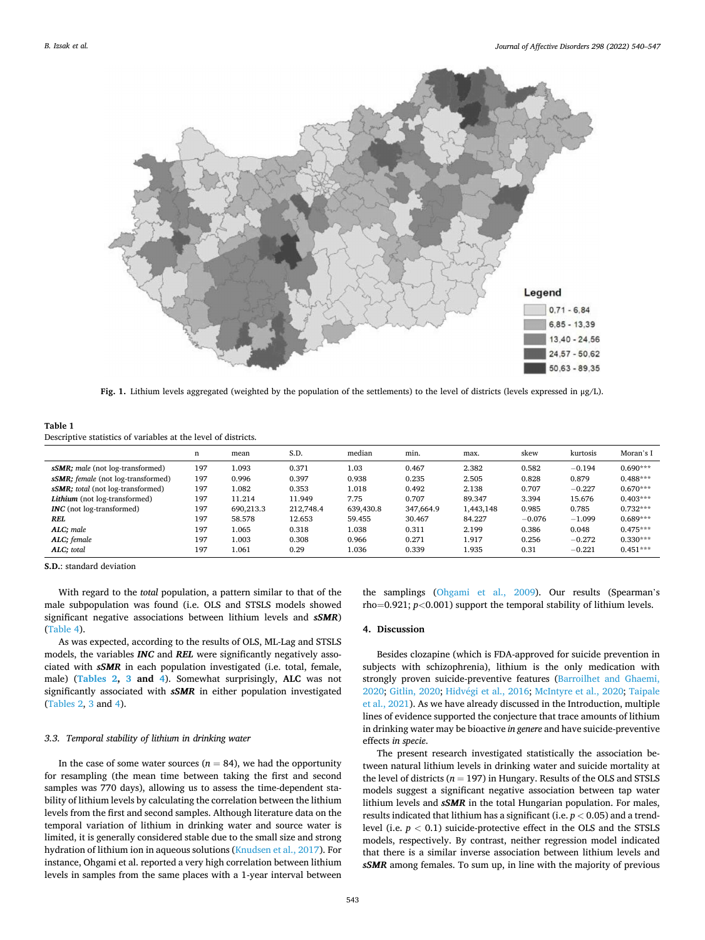<span id="page-3-0"></span>

**Fig. 1.** Lithium levels aggregated (weighted by the population of the settlements) to the level of districts (levels expressed in μg/L).

| Table 1                                                        |
|----------------------------------------------------------------|
| Descriptive statistics of variables at the level of districts. |

|                                                 | n   | mean      | S.D.      | median    | min.      | max.      | skew     | kurtosis | Moran's I  |
|-------------------------------------------------|-----|-----------|-----------|-----------|-----------|-----------|----------|----------|------------|
| <i>sSMR</i> ; <i>male</i> (not log-transformed) | 197 | 1.093     | 0.371     | 1.03      | 0.467     | 2.382     | 0.582    | $-0.194$ | $0.690***$ |
| sSMR: female (not log-transformed)              | 197 | 0.996     | 0.397     | 0.938     | 0.235     | 2.505     | 0.828    | 0.879    | $0.488***$ |
| sSMR; total (not log-transformed)               | 197 | 1.082     | 0.353     | 1.018     | 0.492     | 2.138     | 0.707    | $-0.227$ | $0.670***$ |
| Lithium (not log-transformed)                   | 197 | 11.214    | 11.949    | 7.75      | 0.707     | 89.347    | 3.394    | 15.676   | $0.403***$ |
| <b>INC</b> (not log-transformed)                | 197 | 690.213.3 | 212.748.4 | 639,430.8 | 347,664.9 | 1,443,148 | 0.985    | 0.785    | $0.732***$ |
| REL                                             | 197 | 58.578    | 12.653    | 59.455    | 30.467    | 84.227    | $-0.076$ | $-1.099$ | $0.689***$ |
| ALC; male                                       | 197 | 1.065     | 0.318     | 1.038     | 0.311     | 2.199     | 0.386    | 0.048    | $0.475***$ |
| ALC; female                                     | 197 | 1.003     | 0.308     | 0.966     | 0.271     | 1.917     | 0.256    | $-0.272$ | $0.330***$ |
| ALC: total                                      | 197 | 1.061     | 0.29      | 1.036     | 0.339     | 1.935     | 0.31     | $-0.221$ | $0.451***$ |

**S.D.**: standard deviation

With regard to the *total* population, a pattern similar to that of the male subpopulation was found (i.e. OLS and STSLS models showed significant negative associations between lithium levels and *sSMR*) ([Table 4](#page-6-0)).

As was expected, according to the results of OLS, ML-Lag and STSLS models, the variables *INC* and *REL* were significantly negatively associated with *sSMR* in each population investigated (i.e. total, female, male) (**[Tables 2](#page-5-0), [3](#page-5-0) and [4](#page-6-0)**). Somewhat surprisingly, **ALC** was not significantly associated with *sSMR* in either population investigated ([Tables 2](#page-5-0), [3](#page-5-0) and [4\)](#page-6-0).

### *3.3. Temporal stability of lithium in drinking water*

In the case of some water sources  $(n = 84)$ , we had the opportunity for resampling (the mean time between taking the first and second samples was 770 days), allowing us to assess the time-dependent stability of lithium levels by calculating the correlation between the lithium levels from the first and second samples. Although literature data on the temporal variation of lithium in drinking water and source water is limited, it is generally considered stable due to the small size and strong hydration of lithium ion in aqueous solutions ([Knudsen et al., 2017\)](#page-7-0). For instance, Ohgami et al. reported a very high correlation between lithium levels in samples from the same places with a 1-year interval between

the samplings [\(Ohgami et al., 2009](#page-7-0)). Our results (Spearman's rho=0.921; *p<*0.001) support the temporal stability of lithium levels.

### **4. Discussion**

Besides clozapine (which is FDA-approved for suicide prevention in subjects with schizophrenia), lithium is the only medication with strongly proven suicide-preventive features ([Barroilhet and Ghaemi,](#page-6-0)  [2020; Gitlin, 2020;](#page-6-0) Hidvégi et al., 2016; [McIntyre et al., 2020;](#page-7-0) Taipale [et al., 2021\)](#page-7-0). As we have already discussed in the Introduction, multiple lines of evidence supported the conjecture that trace amounts of lithium in drinking water may be bioactive *in genere* and have suicide-preventive effects *in specie*.

The present research investigated statistically the association between natural lithium levels in drinking water and suicide mortality at the level of districts ( $n = 197$ ) in Hungary. Results of the OLS and STSLS models suggest a significant negative association between tap water lithium levels and *sSMR* in the total Hungarian population. For males, results indicated that lithium has a significant (i.e. *p <* 0.05) and a trendlevel (i.e. *p <* 0.1) suicide-protective effect in the OLS and the STSLS models, respectively. By contrast, neither regression model indicated that there is a similar inverse association between lithium levels and *sSMR* among females. To sum up, in line with the majority of previous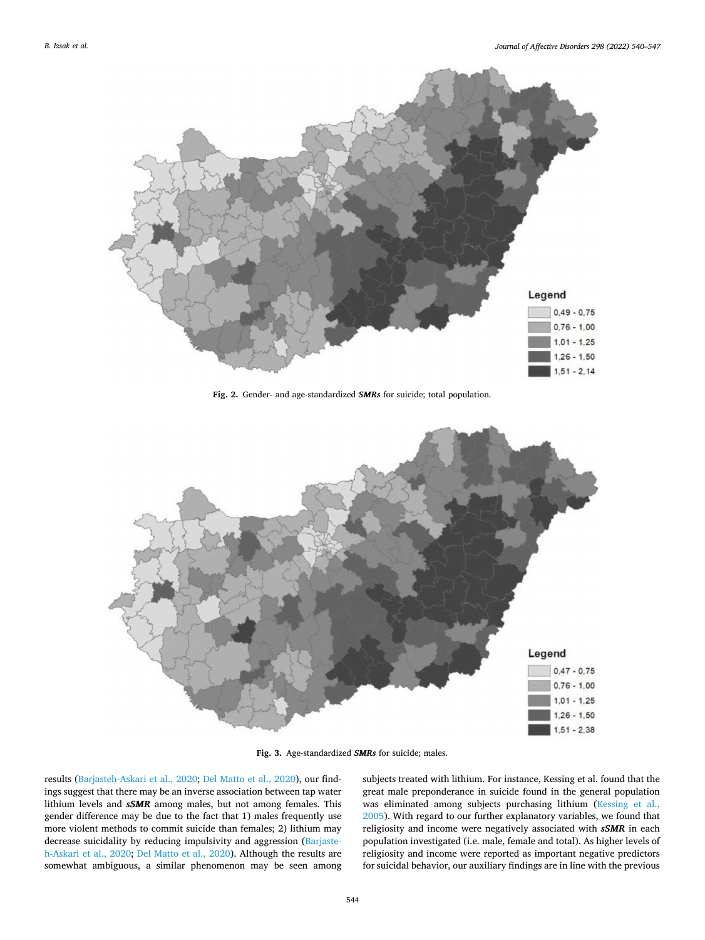<span id="page-4-0"></span>

**Fig. 2.** Gender- and age-standardized *SMRs* for suicide; total population.



**Fig. 3.** Age-standardized *SMRs* for suicide; males.

results [\(Barjasteh-Askari et al., 2020;](#page-6-0) [Del Matto et al., 2020\)](#page-6-0), our findings suggest that there may be an inverse association between tap water lithium levels and *sSMR* among males, but not among females. This gender difference may be due to the fact that 1) males frequently use more violent methods to commit suicide than females; 2) lithium may decrease suicidality by reducing impulsivity and aggression ([Barjaste](#page-6-0)[h-Askari et al., 2020;](#page-6-0) [Del Matto et al., 2020\)](#page-6-0). Although the results are somewhat ambiguous, a similar phenomenon may be seen among subjects treated with lithium. For instance, Kessing et al. found that the great male preponderance in suicide found in the general population was eliminated among subjects purchasing lithium ([Kessing et al.,](#page-7-0)  [2005\)](#page-7-0). With regard to our further explanatory variables, we found that religiosity and income were negatively associated with *sSMR* in each population investigated (i.e. male, female and total). As higher levels of religiosity and income were reported as important negative predictors for suicidal behavior, our auxiliary findings are in line with the previous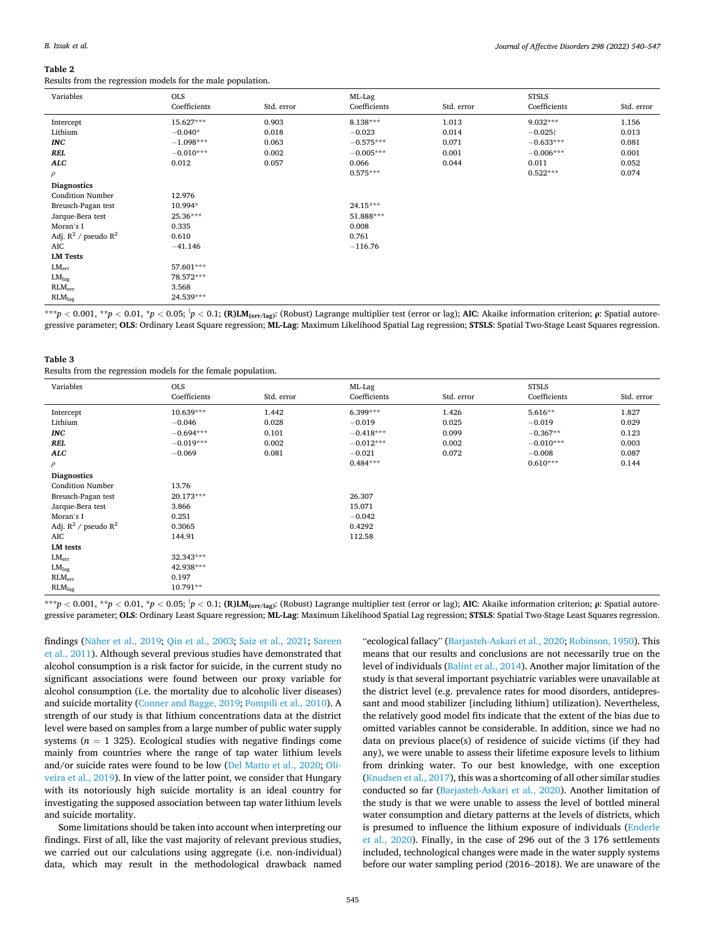#### <span id="page-5-0"></span>**Table 2**

Results from the regression models for the male population.

| Variables                 | <b>OLS</b>   |            | ML-Lag       |            | <b>STSLS</b>    |            |
|---------------------------|--------------|------------|--------------|------------|-----------------|------------|
|                           | Coefficients | Std. error | Coefficients | Std. error | Coefficients    | Std. error |
| Intercept                 | 15.627***    | 0.903      | 8.138***     | 1.013      | 9.032***        | 1.156      |
| Lithium                   | $-0.040*$    | 0.018      | $-0.023$     | 0.014      | $-0.025\dagger$ | 0.013      |
| <b>INC</b>                | $-1.098***$  | 0.063      | $-0.575***$  | 0.071      | $-0.633***$     | 0.081      |
| REL                       | $-0.010***$  | 0.002      | $-0.005***$  | 0.001      | $-0.006***$     | 0.001      |
| ALC                       | 0.012        | 0.057      | 0.066        | 0.044      | 0.011           | 0.052      |
| $\rho$                    |              |            | $0.575***$   |            | $0.522***$      | 0.074      |
| <b>Diagnostics</b>        |              |            |              |            |                 |            |
| <b>Condition Number</b>   | 12.976       |            |              |            |                 |            |
| Breusch-Pagan test        | 10.994*      |            | 24.15***     |            |                 |            |
| Jarque-Bera test          | 25.36***     |            | 51.888***    |            |                 |            |
| Moran's I                 | 0.335        |            | 0.008        |            |                 |            |
| Adj. $R^2$ / pseudo $R^2$ | 0.610        |            | 0.761        |            |                 |            |
| AIC                       | $-41.146$    |            | $-116.76$    |            |                 |            |
| <b>LM Tests</b>           |              |            |              |            |                 |            |
| $LM_{err}$                | 57.601***    |            |              |            |                 |            |
| LM <sub>lag</sub>         | 78.572***    |            |              |            |                 |            |
| RLM <sub>err</sub>        | 3.568        |            |              |            |                 |            |
| RLM <sub>lag</sub>        | 24.539***    |            |              |            |                 |            |

\*\*\* $p < 0.001$ , \*\* $p < 0.01$ , \* $p < 0.05$ ;  $^{\dagger}p < 0.1$ ; (R)LM $_{\rm (err/lag)}$ : (Robust) Lagrange multiplier test (error or lag); AIC: Akaike information criterion;  $\rho$ : Spatial autoregressive parameter; **OLS**: Ordinary Least Square regression; **ML-Lag**: Maximum Likelihood Spatial Lag regression; **STSLS**: Spatial Two-Stage Least Squares regression.

# **Table 3**

|  |  |  |  |  |  |  | Results from the regression models for the female population. |
|--|--|--|--|--|--|--|---------------------------------------------------------------|
|--|--|--|--|--|--|--|---------------------------------------------------------------|

| Variables                                   | <b>OLS</b><br>Coefficients | Std. error | ML-Lag<br>Coefficients | Std. error | <b>STSLS</b><br>Coefficients | Std. error |
|---------------------------------------------|----------------------------|------------|------------------------|------------|------------------------------|------------|
| Intercept                                   | 10.639***                  | 1.442      | 6.399***               | 1.426      | 5.616**                      | 1.827      |
| Lithium                                     | $-0.046$                   | 0.028      | $-0.019$               | 0.025      | $-0.019$                     | 0.029      |
| <b>INC</b>                                  | $-0.694***$                | 0.101      | $-0.418***$            | 0.099      | $-0.367**$                   | 0.123      |
| REL                                         | $-0.019***$                | 0.002      | $-0.012***$            | 0.002      | $-0.010***$                  | 0.003      |
| ALC                                         | $-0.069$                   | 0.081      | $-0.021$               | 0.072      | $-0.008$                     | 0.087      |
| $\rho$                                      |                            |            | $0.484***$             |            | $0.610***$                   | 0.144      |
| <b>Diagnostics</b>                          |                            |            |                        |            |                              |            |
| <b>Condition Number</b>                     | 13.76                      |            |                        |            |                              |            |
| Breusch-Pagan test                          | 20.173***                  |            | 26.307                 |            |                              |            |
| Jarque-Bera test                            | 3.866                      |            | 15.071                 |            |                              |            |
| Moran's I                                   | 0.251                      |            | $-0.042$               |            |                              |            |
| Adj. $\mathbb{R}^2$ / pseudo $\mathbb{R}^2$ | 0.3065                     |            | 0.4292                 |            |                              |            |
| AIC                                         | 144.91                     |            | 112.58                 |            |                              |            |
| LM tests                                    |                            |            |                        |            |                              |            |
| $LM_{err}$                                  | 32.343***                  |            |                        |            |                              |            |
| LM <sub>lag</sub>                           | 42.938***                  |            |                        |            |                              |            |
| RLM <sub>err</sub>                          | 0.197                      |            |                        |            |                              |            |
| RLM <sub>lag</sub>                          | 10.791**                   |            |                        |            |                              |            |
|                                             | $\mathbf{A}$               |            |                        |            |                              |            |

\*\*\* $p < 0.001$ , \*\* $p < 0.01$ , \* $p < 0.05$ ;  $^{\dagger}p < 0.1$ ; (R)LM $_{\rm (err/lag)}$ : (Robust) Lagrange multiplier test (error or lag); AIC: Akaike information criterion;  $\rho$ : Spatial autoregressive parameter; **OLS**: Ordinary Least Square regression; **ML-Lag**: Maximum Likelihood Spatial Lag regression; **STSLS**: Spatial Two-Stage Least Squares regression.

findings (Näher et al., 2019; [Qin et al., 2003; Saiz et al., 2021](#page-7-0); Sareen [et al., 2011](#page-7-0)). Although several previous studies have demonstrated that alcohol consumption is a risk factor for suicide, in the current study no significant associations were found between our proxy variable for alcohol consumption (i.e. the mortality due to alcoholic liver diseases) and suicide mortality [\(Conner and Bagge, 2019;](#page-6-0) [Pompili et al., 2010](#page-7-0)). A strength of our study is that lithium concentrations data at the district level were based on samples from a large number of public water supply systems ( $n = 1$  325). Ecological studies with negative findings come mainly from countries where the range of tap water lithium levels and/or suicide rates were found to be low ([Del Matto et al., 2020;](#page-6-0) [Oli](#page-7-0)[veira et al., 2019\)](#page-7-0). In view of the latter point, we consider that Hungary with its notoriously high suicide mortality is an ideal country for investigating the supposed association between tap water lithium levels and suicide mortality.

Some limitations should be taken into account when interpreting our findings. First of all, like the vast majority of relevant previous studies, we carried out our calculations using aggregate (i.e. non-individual) data, which may result in the methodological drawback named

"ecological fallacy" ([Barjasteh-Askari et al., 2020](#page-6-0); [Robinson, 1950\)](#page-7-0). This means that our results and conclusions are not necessarily true on the level of individuals [\(Balint et al., 2014\)](#page-6-0). Another major limitation of the study is that several important psychiatric variables were unavailable at the district level (e.g. prevalence rates for mood disorders, antidepressant and mood stabilizer [including lithium] utilization). Nevertheless, the relatively good model fits indicate that the extent of the bias due to omitted variables cannot be considerable. In addition, since we had no data on previous place(s) of residence of suicide victims (if they had any), we were unable to assess their lifetime exposure levels to lithium from drinking water. To our best knowledge, with one exception ([Knudsen et al., 2017](#page-7-0)), this was a shortcoming of all other similar studies conducted so far ([Barjasteh-Askari et al., 2020\)](#page-6-0). Another limitation of the study is that we were unable to assess the level of bottled mineral water consumption and dietary patterns at the levels of districts, which is presumed to influence the lithium exposure of individuals ([Enderle](#page-6-0)  [et al., 2020](#page-6-0)). Finally, in the case of 296 out of the 3 176 settlements included, technological changes were made in the water supply systems before our water sampling period (2016–2018). We are unaware of the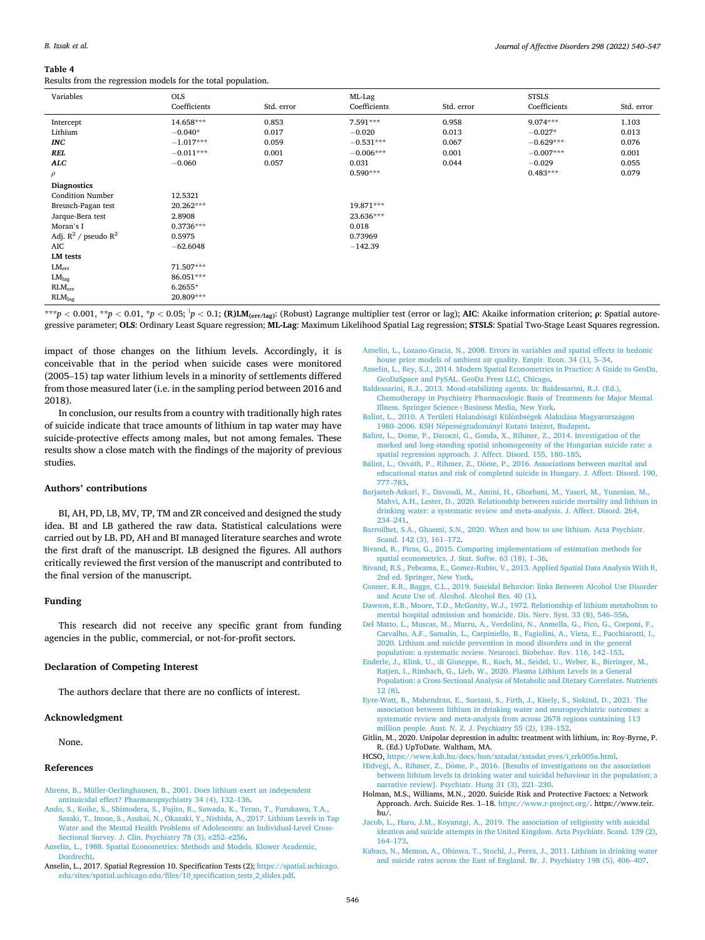#### <span id="page-6-0"></span>**Table 4**

Results from the regression models for the total population.

| Variables                                   | <b>OLS</b>   |            | ML-Lag       |            | <b>STSLS</b> |            |
|---------------------------------------------|--------------|------------|--------------|------------|--------------|------------|
|                                             | Coefficients | Std. error | Coefficients | Std. error | Coefficients | Std. error |
| Intercept                                   | 14.658***    | 0.853      | 7.591***     | 0.958      | $9.074***$   | 1.103      |
| Lithium                                     | $-0.040*$    | 0.017      | $-0.020$     | 0.013      | $-0.027*$    | 0.013      |
| <b>INC</b>                                  | $-1.017***$  | 0.059      | $-0.531***$  | 0.067      | $-0.629***$  | 0.076      |
| REL                                         | $-0.011***$  | 0.001      | $-0.006***$  | 0.001      | $-0.007***$  | 0.001      |
| <b>ALC</b>                                  | $-0.060$     | 0.057      | 0.031        | 0.044      | $-0.029$     | 0.055      |
| $\rho$                                      |              |            | $0.590***$   |            | $0.483***$   | 0.079      |
| <b>Diagnostics</b>                          |              |            |              |            |              |            |
| <b>Condition Number</b>                     | 12.5321      |            |              |            |              |            |
| Breusch-Pagan test                          | 20.262***    |            | 19.871***    |            |              |            |
| Jarque-Bera test                            | 2.8908       |            | 23.636***    |            |              |            |
| Moran's I                                   | $0.3736***$  |            | 0.018        |            |              |            |
| Adj. $\mathbb{R}^2$ / pseudo $\mathbb{R}^2$ | 0.5975       |            | 0.73969      |            |              |            |
| AIC                                         | $-62.6048$   |            | $-142.39$    |            |              |            |
| LM tests                                    |              |            |              |            |              |            |
| $LM_{err}$                                  | 71.507***    |            |              |            |              |            |
| LM <sub>lag</sub>                           | 86.051***    |            |              |            |              |            |
| RLM <sub>err</sub>                          | $6.2655*$    |            |              |            |              |            |
| RLM <sub>lag</sub>                          | 20.809***    |            |              |            |              |            |

\*\*\* $p < 0.001$ , \*\* $p < 0.01$ , \* $p < 0.05$ ;  $^{\dagger}p < 0.1$ ; (R)LM $_{\rm (err/lag)}$ : (Robust) Lagrange multiplier test (error or lag); AIC: Akaike information criterion;  $\rho$ : Spatial autoregressive parameter; **OLS**: Ordinary Least Square regression; **ML-Lag**: Maximum Likelihood Spatial Lag regression; **STSLS**: Spatial Two-Stage Least Squares regression.

impact of those changes on the lithium levels. Accordingly, it is conceivable that in the period when suicide cases were monitored (2005–15) tap water lithium levels in a minority of settlements differed from those measured later (i.e. in the sampling period between 2016 and 2018).

In conclusion, our results from a country with traditionally high rates of suicide indicate that trace amounts of lithium in tap water may have suicide-protective effects among males, but not among females. These results show a close match with the findings of the majority of previous studies.

### **Authors' contributions**

BI, AH, PD, LB, MV, TP, TM and ZR conceived and designed the study idea. BI and LB gathered the raw data. Statistical calculations were carried out by LB. PD, AH and BI managed literature searches and wrote the first draft of the manuscript. LB designed the figures. All authors critically reviewed the first version of the manuscript and contributed to the final version of the manuscript.

## **Funding**

This research did not receive any specific grant from funding agencies in the public, commercial, or not-for-profit sectors.

## **Declaration of Competing Interest**

The authors declare that there are no conflicts of interest.

#### **Acknowledgment**

None.

## **References**

- [Ahrens, B., Müller-Oerlinghausen, B., 2001. Does lithium exert an independent](http://refhub.elsevier.com/S0165-0327(21)01257-X/sbref0001)  [antisuicidal effect? Pharmacopsychiatry 34 \(4\), 132](http://refhub.elsevier.com/S0165-0327(21)01257-X/sbref0001)–136.
- [Ando, S., Koike, S., Shimodera, S., Fujito, R., Sawada, K., Terao, T., Furukawa, T.A.,](http://refhub.elsevier.com/S0165-0327(21)01257-X/sbref0002) [Sasaki, T., Inoue, S., Asukai, N., Okazaki, Y., Nishida, A., 2017. Lithium Levels in Tap](http://refhub.elsevier.com/S0165-0327(21)01257-X/sbref0002)  [Water and the Mental Health Problems of Adolescents: an Individual-Level Cross-](http://refhub.elsevier.com/S0165-0327(21)01257-X/sbref0002)[Sectional Survey. J. Clin. Psychiatry 78 \(3\), e252](http://refhub.elsevier.com/S0165-0327(21)01257-X/sbref0002)–e256.
- [Anselin, L., 1988. Spatial Econometrics: Methods and Models. Kluwer Academic,](http://refhub.elsevier.com/S0165-0327(21)01257-X/sbref0003)  [Dordrecht.](http://refhub.elsevier.com/S0165-0327(21)01257-X/sbref0003)
- Anselin, L., 2017. Spatial Regression 10. Specification Tests (2); [https://spatial.uchicago.](https://spatial.uchicago.edu/sites/spatial.uchicago.edu/files/10_specification_tests_2_slides.pdf)  [edu/sites/spatial.uchicago.edu/files/10\\_specification\\_tests\\_2\\_slides.pdf](https://spatial.uchicago.edu/sites/spatial.uchicago.edu/files/10_specification_tests_2_slides.pdf).
- [Anselin, L., Lozano-Gracia, N., 2008. Errors in variables and spatial effects in hedonic](http://refhub.elsevier.com/S0165-0327(21)01257-X/sbref0005)  [house price models of ambient air quality. Empir. Econ. 34 \(1\), 5](http://refhub.elsevier.com/S0165-0327(21)01257-X/sbref0005)–34. [Anselin, L., Rey, S.J., 2014. Modern Spatial Econometrics in Practice: A Guide to GeoDa,](http://refhub.elsevier.com/S0165-0327(21)01257-X/sbref0006)  [GeoDaSpace and PySAL. GeoDa Press LLC, Chicago.](http://refhub.elsevier.com/S0165-0327(21)01257-X/sbref0006)
- [Baldessarini, R.J., 2013. Mood-stabilizing agents. In: Baldessarini, R.J. \(Ed.\),](http://refhub.elsevier.com/S0165-0327(21)01257-X/sbref0007)  [Chemotherapy in Psychiatry Pharmacologic Basis of Treatments for Major Mental](http://refhub.elsevier.com/S0165-0327(21)01257-X/sbref0007)  Illness. Springer Science+[Business Media, New York.](http://refhub.elsevier.com/S0165-0327(21)01257-X/sbref0007)
- Balint, L., 2010. A Területi Halandósági Különbségek Alakulása Magyarországon 1980–2006. KSH Népességtudományi Kutató Intézet, Budapest.
- [Balint, L., Dome, P., Daroczi, G., Gonda, X., Rihmer, Z., 2014. Investigation of the](http://refhub.elsevier.com/S0165-0327(21)01257-X/sbref0009) [marked and long-standing spatial inhomogeneity of the Hungarian suicide rate: a](http://refhub.elsevier.com/S0165-0327(21)01257-X/sbref0009)  [spatial regression approach. J. Affect. Disord. 155, 180](http://refhub.elsevier.com/S0165-0327(21)01257-X/sbref0009)–185.
- Bálint, L., Osváth, P., Rihmer, Z., Döme, P., 2016. Associations between marital and [educational status and risk of completed suicide in Hungary. J. Affect. Disord. 190,](http://refhub.elsevier.com/S0165-0327(21)01257-X/sbref0010)  777–[783](http://refhub.elsevier.com/S0165-0327(21)01257-X/sbref0010).
- [Barjasteh-Askari, F., Davoudi, M., Amini, H., Ghorbani, M., Yaseri, M., Yunesian, M.,](http://refhub.elsevier.com/S0165-0327(21)01257-X/sbref0011) [Mahvi, A.H., Lester, D., 2020. Relationship between suicide mortality and lithium in](http://refhub.elsevier.com/S0165-0327(21)01257-X/sbref0011)  [drinking water: a systematic review and meta-analysis. J. Affect. Disord. 264,](http://refhub.elsevier.com/S0165-0327(21)01257-X/sbref0011) 234–[241](http://refhub.elsevier.com/S0165-0327(21)01257-X/sbref0011).
- [Barroilhet, S.A., Ghaemi, S.N., 2020. When and how to use lithium. Acta Psychiatr.](http://refhub.elsevier.com/S0165-0327(21)01257-X/sbref0012) [Scand. 142 \(3\), 161](http://refhub.elsevier.com/S0165-0327(21)01257-X/sbref0012)–172.
- [Bivand, R., Piras, G., 2015. Comparing implementations of estimation methods for](http://refhub.elsevier.com/S0165-0327(21)01257-X/sbref0013) [spatial econometrics. J. Stat. Softw. 63 \(18\), 1](http://refhub.elsevier.com/S0165-0327(21)01257-X/sbref0013)–36.
- [Bivand, R.S., Pebesma, E., Gomez-Rubio, V., 2013. Applied Spatial Data Analysis With R,](http://refhub.elsevier.com/S0165-0327(21)01257-X/sbref0014)  [2nd ed. Springer, New York](http://refhub.elsevier.com/S0165-0327(21)01257-X/sbref0014).
- [Conner, K.R., Bagge, C.L., 2019. Suicidal Behavior: links Between Alcohol Use Disorder](http://refhub.elsevier.com/S0165-0327(21)01257-X/sbref0015)  [and Acute Use of. Alcohol. Alcohol Res. 40 \(1\).](http://refhub.elsevier.com/S0165-0327(21)01257-X/sbref0015)
- [Dawson, E.B., Moore, T.D., McGanity, W.J., 1972. Relationship of lithium metabolism to](http://refhub.elsevier.com/S0165-0327(21)01257-X/sbref0016)  [mental hospital admission and homicide. Dis. Nerv. Syst. 33 \(8\), 546](http://refhub.elsevier.com/S0165-0327(21)01257-X/sbref0016)–556.
- [Del Matto, L., Muscas, M., Murru, A., Verdolini, N., Anmella, G., Fico, G., Corponi, F.,](http://refhub.elsevier.com/S0165-0327(21)01257-X/sbref0017)  [Carvalho, A.F., Samalin, L., Carpiniello, B., Fagiolini, A., Vieta, E., Pacchiarotti, I.,](http://refhub.elsevier.com/S0165-0327(21)01257-X/sbref0017)  [2020. Lithium and suicide prevention in mood disorders and in the general](http://refhub.elsevier.com/S0165-0327(21)01257-X/sbref0017)  [population: a systematic review. Neurosci. Biobehav. Rev. 116, 142](http://refhub.elsevier.com/S0165-0327(21)01257-X/sbref0017)–153.
- [Enderle, J., Klink, U., di Giuseppe, R., Koch, M., Seidel, U., Weber, K., Birringer, M.,](http://refhub.elsevier.com/S0165-0327(21)01257-X/sbref0018)  [Ratjen, I., Rimbach, G., Lieb, W., 2020. Plasma Lithium Levels in a General](http://refhub.elsevier.com/S0165-0327(21)01257-X/sbref0018) [Population: a Cross-Sectional Analysis of Metabolic and Dietary Correlates. Nutrients](http://refhub.elsevier.com/S0165-0327(21)01257-X/sbref0018)  [12 \(8\)](http://refhub.elsevier.com/S0165-0327(21)01257-X/sbref0018).
- [Eyre-Watt, B., Mahendran, E., Suetani, S., Firth, J., Kisely, S., Siskind, D., 2021. The](http://refhub.elsevier.com/S0165-0327(21)01257-X/sbref0019) [association between lithium in drinking water and neuropsychiatric outcomes: a](http://refhub.elsevier.com/S0165-0327(21)01257-X/sbref0019) [systematic review and meta-analysis from across 2678 regions containing 113](http://refhub.elsevier.com/S0165-0327(21)01257-X/sbref0019) [million people. Aust. N. Z. J. Psychiatry 55 \(2\), 139](http://refhub.elsevier.com/S0165-0327(21)01257-X/sbref0019)–152.
- Gitlin, M., 2020. Unipolar depression in adults: treatment with lithium, in: Roy-Byrne, P. R. (Ed.) UpToDate. Waltham, MA.
- HCSO, https://www.ksh.hu/docs/hun/xstadat/xstadat eves/i\_zrk005a.html.
- Hidvégi, A., Rihmer, Z., Döme, P., 2016. [Results of investigations on the association [between lithium levels in drinking water and suicidal behaviour in the population: a](http://refhub.elsevier.com/S0165-0327(21)01257-X/sbref0022)  [narrative review\]. Psychiatr. Hung 31 \(3\), 221](http://refhub.elsevier.com/S0165-0327(21)01257-X/sbref0022)–230.
- Holman, M.S., Williams, M.N., 2020. Suicide Risk and Protective Factors: a Network Approach. Arch. Suicide Res. 1–18. [https://www.r-project.org/.](https://www.r-project.org/) https://www.teir. hu/.
- [Jacob, L., Haro, J.M., Koyanagi, A., 2019. The association of religiosity with suicidal](http://refhub.elsevier.com/S0165-0327(21)01257-X/sbref0024)  [ideation and suicide attempts in the United Kingdom. Acta Psychiatr. Scand. 139 \(2\),](http://refhub.elsevier.com/S0165-0327(21)01257-X/sbref0024)  164–[173](http://refhub.elsevier.com/S0165-0327(21)01257-X/sbref0024).
- [Kabacs, N., Memon, A., Obinwa, T., Stochl, J., Perez, J., 2011. Lithium in drinking water](http://refhub.elsevier.com/S0165-0327(21)01257-X/sbref0025)  [and suicide rates across the East of England. Br. J. Psychiatry 198 \(5\), 406](http://refhub.elsevier.com/S0165-0327(21)01257-X/sbref0025)–407.